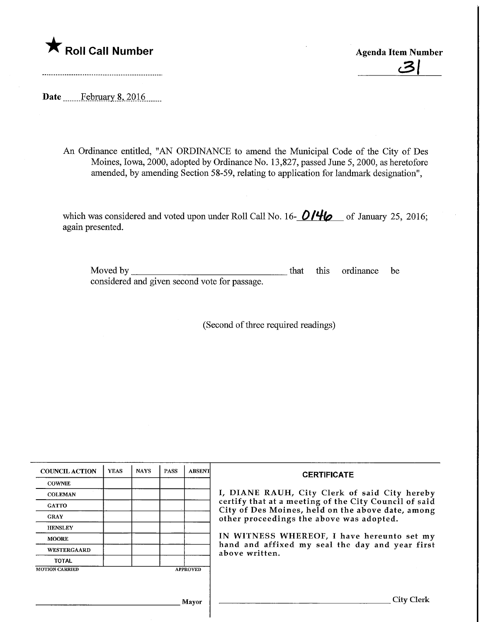

c3|

Date ........Febryary.8,.2016.

An Ordinance entitled, "AN ORDINANCE to amend the Municipal Code of the City of Des Moines, Iowa, 2000, adopted by Ordinance No. 13,827, passed June 5, 2000, as heretofore amended, by amending Section 58-59, relating to application for landmark designation",

which was considered and voted upon under Roll Call No. 16-  $O/H\sigma$  of January 25, 2016; again presented.

| Moved by                                      |  | that this ordinance be |  |
|-----------------------------------------------|--|------------------------|--|
| considered and given second vote for passage. |  |                        |  |

(Second of three required readings)

| <b>COUNCIL ACTION</b> | <b>YEAS</b> | <b>NAYS</b> | <b>PASS</b> | <b>ABSENT</b>   | <b>CERTIFICATE</b>                                                                            |
|-----------------------|-------------|-------------|-------------|-----------------|-----------------------------------------------------------------------------------------------|
| <b>COWNIE</b>         |             |             |             |                 |                                                                                               |
| <b>COLEMAN</b>        |             |             |             |                 | I, DIANE RAUH, City Clerk of said City hereby                                                 |
| <b>GATTO</b>          |             |             |             |                 | certify that at a meeting of the City Council of said                                         |
| <b>GRAY</b>           |             |             |             |                 | City of Des Moines, held on the above date, among<br>other proceedings the above was adopted. |
| <b>HENSLEY</b>        |             |             |             |                 |                                                                                               |
| <b>MOORE</b>          |             |             |             |                 | IN WITNESS WHEREOF, I have hereunto set my                                                    |
| WESTERGAARD           |             |             |             |                 | hand and affixed my seal the day and year first<br>above written.                             |
| TOTAL                 |             |             |             |                 |                                                                                               |
| <b>MOTION CARRIED</b> |             |             |             | <b>APPROVED</b> |                                                                                               |
|                       |             |             |             |                 |                                                                                               |
|                       |             |             |             |                 |                                                                                               |
|                       |             |             |             | Mayor           | <b>City Clerk</b>                                                                             |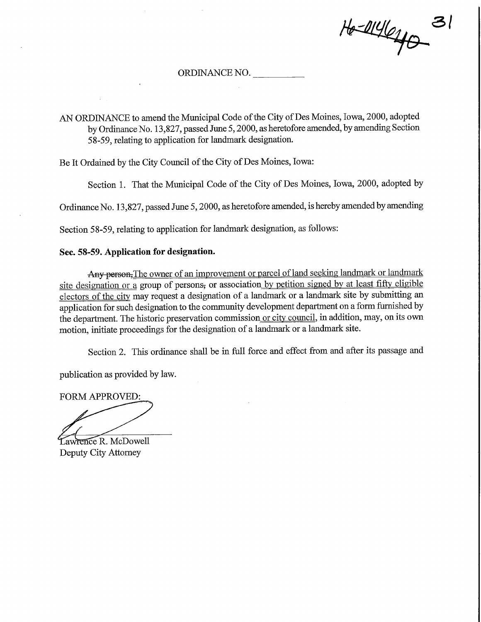si  $H_0=4146$ 

## ORDINANCE NO.

AN ORDINANCE to amend the Municipal Code of the City of Des Moines, Iowa, 2000, adopted by Ordinance No. 13,827, passed June 5,2000, as heretofore amended, by amending Section 58-59, relating to application for landmark designation.

Be It Ordained by the City Council of the City of Des Moines, Iowa:

Section 1. That the Municipal Code of the City of Des Moines, Iowa, 2000, adopted by

Ordinance No. 13,827, passed June 5,2000, as heretofore amended, is hereby amended by amending

Section 58-59, relating to application for landmark designation, as follows:

## Sec. 58-59. Application for designation.

Any person, The owner of an improvement or parcel of land seeking landmark or landmark site designation or a group of persons, or association by petition signed by at least fifty eligible electors of the city may request a designation of a landmark or a landmark site by submitting an application for such designation to the community development department on a form furnished by the department. The historic preservation commission or city council, in addition, may, on its own motion, initiate proceedings for the designation of a landmark or a landmark site.

Section 2. This ordinance shall be in full force and effect from and after its passage and

publication as provided by law.

FORM APPROVED:

Lawrence R. McDowell Deputy City Attorney